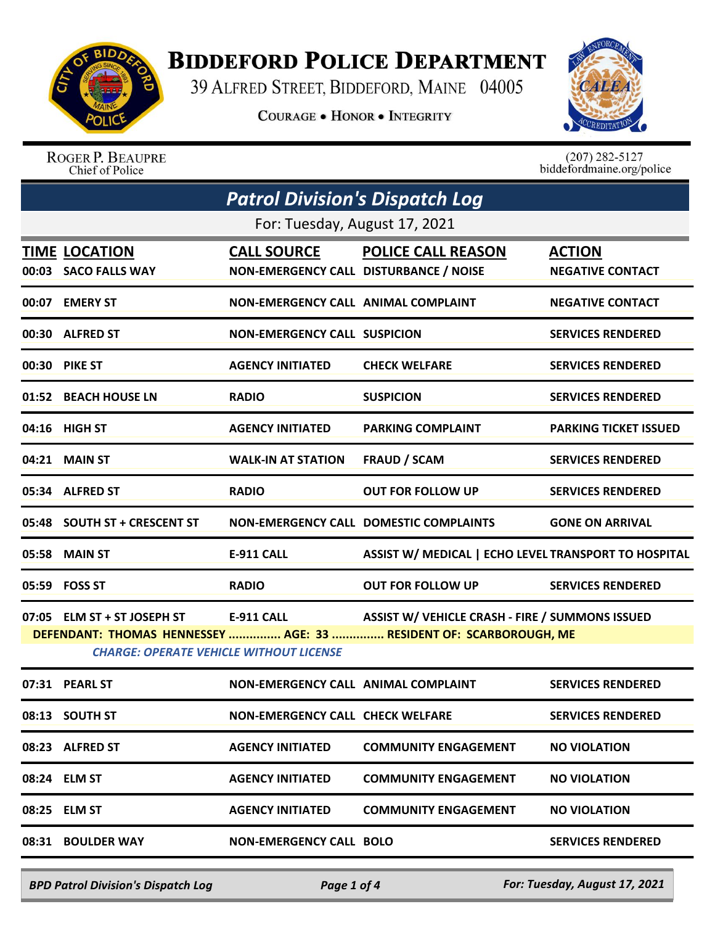

## **BIDDEFORD POLICE DEPARTMENT**

39 ALFRED STREET, BIDDEFORD, MAINE 04005

COURAGE . HONOR . INTEGRITY



ROGER P. BEAUPRE Chief of Police

 $(207)$  282-5127<br>biddefordmaine.org/police

| <b>Patrol Division's Dispatch Log</b>          |                                              |                                                              |                                                                                                                                                              |                                          |
|------------------------------------------------|----------------------------------------------|--------------------------------------------------------------|--------------------------------------------------------------------------------------------------------------------------------------------------------------|------------------------------------------|
|                                                |                                              | For: Tuesday, August 17, 2021                                |                                                                                                                                                              |                                          |
|                                                | <b>TIME LOCATION</b><br>00:03 SACO FALLS WAY | <b>CALL SOURCE</b><br>NON-EMERGENCY CALL DISTURBANCE / NOISE | <b>POLICE CALL REASON</b>                                                                                                                                    | <b>ACTION</b><br><b>NEGATIVE CONTACT</b> |
|                                                | 00:07 EMERY ST                               | NON-EMERGENCY CALL ANIMAL COMPLAINT                          |                                                                                                                                                              | <b>NEGATIVE CONTACT</b>                  |
|                                                | 00:30 ALFRED ST                              | <b>NON-EMERGENCY CALL SUSPICION</b>                          |                                                                                                                                                              | <b>SERVICES RENDERED</b>                 |
|                                                | 00:30 PIKE ST                                | <b>AGENCY INITIATED</b>                                      | <b>CHECK WELFARE</b>                                                                                                                                         | <b>SERVICES RENDERED</b>                 |
|                                                | 01:52 BEACH HOUSE LN                         | <b>RADIO</b>                                                 | <b>SUSPICION</b>                                                                                                                                             | <b>SERVICES RENDERED</b>                 |
|                                                | 04:16 HIGH ST                                | <b>AGENCY INITIATED</b>                                      | <b>PARKING COMPLAINT</b>                                                                                                                                     | <b>PARKING TICKET ISSUED</b>             |
|                                                | 04:21 MAIN ST                                | <b>WALK-IN AT STATION</b>                                    | <b>FRAUD / SCAM</b>                                                                                                                                          | <b>SERVICES RENDERED</b>                 |
|                                                | 05:34 ALFRED ST                              | <b>RADIO</b>                                                 | <b>OUT FOR FOLLOW UP</b>                                                                                                                                     | <b>SERVICES RENDERED</b>                 |
|                                                | 05:48 SOUTH ST + CRESCENT ST                 |                                                              | <b>NON-EMERGENCY CALL DOMESTIC COMPLAINTS</b>                                                                                                                | <b>GONE ON ARRIVAL</b>                   |
|                                                | 05:58 MAIN ST                                | <b>E-911 CALL</b>                                            | ASSIST W/ MEDICAL   ECHO LEVEL TRANSPORT TO HOSPITAL                                                                                                         |                                          |
|                                                | 05:59 FOSS ST                                | <b>RADIO</b>                                                 | <b>OUT FOR FOLLOW UP</b>                                                                                                                                     | <b>SERVICES RENDERED</b>                 |
|                                                |                                              |                                                              | 07:05 ELM ST + ST JOSEPH ST E-911 CALL ASSIST W/ VEHICLE CRASH - FIRE / SUMMONS ISSUED<br>DEFENDANT: THOMAS HENNESSEY  AGE: 33  RESIDENT OF: SCARBOROUGH, ME |                                          |
| <b>CHARGE: OPERATE VEHICLE WITHOUT LICENSE</b> |                                              |                                                              |                                                                                                                                                              |                                          |
|                                                | 07:31 PEARL ST                               | NON-EMERGENCY CALL ANIMAL COMPLAINT                          |                                                                                                                                                              | <b>SERVICES RENDERED</b>                 |
|                                                | 08:13 SOUTH ST                               | <b>NON-EMERGENCY CALL CHECK WELFARE</b>                      |                                                                                                                                                              | <b>SERVICES RENDERED</b>                 |
|                                                | 08:23 ALFRED ST                              | <b>AGENCY INITIATED</b>                                      | <b>COMMUNITY ENGAGEMENT</b>                                                                                                                                  | <b>NO VIOLATION</b>                      |
|                                                | 08:24 ELM ST                                 | <b>AGENCY INITIATED</b>                                      | <b>COMMUNITY ENGAGEMENT</b>                                                                                                                                  | <b>NO VIOLATION</b>                      |
|                                                | 08:25 ELM ST                                 | <b>AGENCY INITIATED</b>                                      | <b>COMMUNITY ENGAGEMENT</b>                                                                                                                                  | <b>NO VIOLATION</b>                      |
|                                                | 08:31 BOULDER WAY                            | <b>NON-EMERGENCY CALL BOLO</b>                               |                                                                                                                                                              | <b>SERVICES RENDERED</b>                 |
|                                                |                                              |                                                              |                                                                                                                                                              |                                          |

*BPD Patrol Division's Dispatch Log Page 1 of 4 For: Tuesday, August 17, 2021*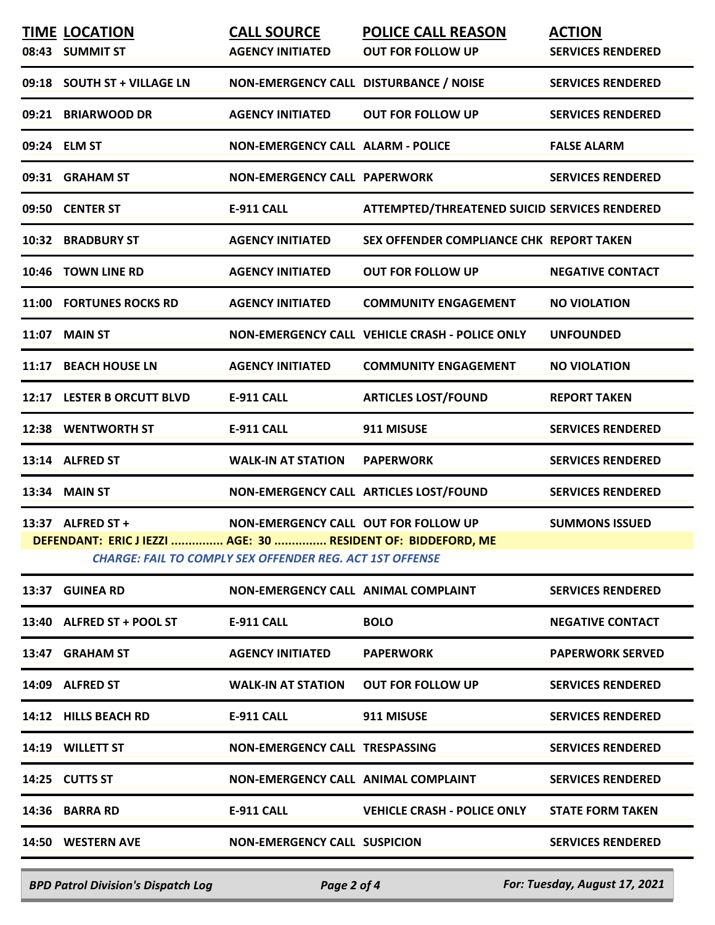|                                                                                                                                                                                                                       | <b>TIME LOCATION</b><br>08:43 SUMMIT ST | <b>CALL SOURCE</b><br><b>AGENCY INITIATED</b> | <b>POLICE CALL REASON</b><br><b>OUT FOR FOLLOW UP</b> | <b>ACTION</b><br><b>SERVICES RENDERED</b> |
|-----------------------------------------------------------------------------------------------------------------------------------------------------------------------------------------------------------------------|-----------------------------------------|-----------------------------------------------|-------------------------------------------------------|-------------------------------------------|
|                                                                                                                                                                                                                       | 09:18 SOUTH ST + VILLAGE LN             | NON-EMERGENCY CALL DISTURBANCE / NOISE        |                                                       | <b>SERVICES RENDERED</b>                  |
|                                                                                                                                                                                                                       | 09:21 BRIARWOOD DR                      | <b>AGENCY INITIATED</b>                       | <b>OUT FOR FOLLOW UP</b>                              | <b>SERVICES RENDERED</b>                  |
|                                                                                                                                                                                                                       | 09:24 ELM ST                            | <b>NON-EMERGENCY CALL ALARM - POLICE</b>      |                                                       | <b>FALSE ALARM</b>                        |
|                                                                                                                                                                                                                       | 09:31 GRAHAM ST                         | <b>NON-EMERGENCY CALL PAPERWORK</b>           |                                                       | <b>SERVICES RENDERED</b>                  |
|                                                                                                                                                                                                                       | 09:50 CENTER ST                         | <b>E-911 CALL</b>                             | ATTEMPTED/THREATENED SUICID SERVICES RENDERED         |                                           |
|                                                                                                                                                                                                                       | 10:32 BRADBURY ST                       | <b>AGENCY INITIATED</b>                       | SEX OFFENDER COMPLIANCE CHK REPORT TAKEN              |                                           |
|                                                                                                                                                                                                                       | 10:46 TOWN LINE RD                      | <b>AGENCY INITIATED</b>                       | <b>OUT FOR FOLLOW UP</b>                              | <b>NEGATIVE CONTACT</b>                   |
|                                                                                                                                                                                                                       | 11:00 FORTUNES ROCKS RD                 | <b>AGENCY INITIATED</b>                       | <b>COMMUNITY ENGAGEMENT</b>                           | <b>NO VIOLATION</b>                       |
|                                                                                                                                                                                                                       | <b>11:07 MAIN ST</b>                    |                                               | NON-EMERGENCY CALL VEHICLE CRASH - POLICE ONLY        | <b>UNFOUNDED</b>                          |
|                                                                                                                                                                                                                       | 11:17 BEACH HOUSE LN                    | <b>AGENCY INITIATED</b>                       | <b>COMMUNITY ENGAGEMENT</b>                           | <b>NO VIOLATION</b>                       |
|                                                                                                                                                                                                                       | 12:17 LESTER B ORCUTT BLVD              | <b>E-911 CALL</b>                             | <b>ARTICLES LOST/FOUND</b>                            | <b>REPORT TAKEN</b>                       |
|                                                                                                                                                                                                                       | 12:38 WENTWORTH ST                      | <b>E-911 CALL</b>                             | 911 MISUSE                                            | <b>SERVICES RENDERED</b>                  |
|                                                                                                                                                                                                                       | 13:14 ALFRED ST                         | <b>WALK-IN AT STATION</b>                     | <b>PAPERWORK</b>                                      | <b>SERVICES RENDERED</b>                  |
|                                                                                                                                                                                                                       | 13:34 MAIN ST                           |                                               | NON-EMERGENCY CALL ARTICLES LOST/FOUND                | <b>SERVICES RENDERED</b>                  |
| 13:37 ALFRED ST +<br>NON-EMERGENCY CALL OUT FOR FOLLOW UP<br><b>SUMMONS ISSUED</b><br>DEFENDANT: ERIC J IEZZI  AGE: 30  RESIDENT OF: BIDDEFORD, ME<br><b>CHARGE: FAIL TO COMPLY SEX OFFENDER REG. ACT 1ST OFFENSE</b> |                                         |                                               |                                                       |                                           |
|                                                                                                                                                                                                                       | 13:37 GUINEA RD                         | NON-EMERGENCY CALL ANIMAL COMPLAINT           |                                                       | <b>SERVICES RENDERED</b>                  |
|                                                                                                                                                                                                                       | 13:40 ALFRED ST + POOL ST               | <b>E-911 CALL</b>                             | <b>BOLO</b>                                           | <b>NEGATIVE CONTACT</b>                   |
|                                                                                                                                                                                                                       | 13:47 GRAHAM ST                         | <b>AGENCY INITIATED</b>                       | <b>PAPERWORK</b>                                      | <b>PAPERWORK SERVED</b>                   |
|                                                                                                                                                                                                                       | 14:09 ALFRED ST                         | <b>WALK-IN AT STATION</b>                     | <b>OUT FOR FOLLOW UP</b>                              | <b>SERVICES RENDERED</b>                  |
|                                                                                                                                                                                                                       | 14:12 HILLS BEACH RD                    | E-911 CALL                                    | 911 MISUSE                                            | <b>SERVICES RENDERED</b>                  |
|                                                                                                                                                                                                                       | 14:19 WILLETT ST                        | NON-EMERGENCY CALL TRESPASSING                |                                                       | <b>SERVICES RENDERED</b>                  |
|                                                                                                                                                                                                                       | 14:25 CUTTS ST                          | NON-EMERGENCY CALL ANIMAL COMPLAINT           |                                                       | <b>SERVICES RENDERED</b>                  |
|                                                                                                                                                                                                                       | 14:36 BARRA RD                          | E-911 CALL                                    | <b>VEHICLE CRASH - POLICE ONLY</b>                    | <b>STATE FORM TAKEN</b>                   |
|                                                                                                                                                                                                                       | 14:50 WESTERN AVE                       | <b>NON-EMERGENCY CALL SUSPICION</b>           |                                                       | <b>SERVICES RENDERED</b>                  |

*BPD Patrol Division's Dispatch Log Page 2 of 4 For: Tuesday, August 17, 2021*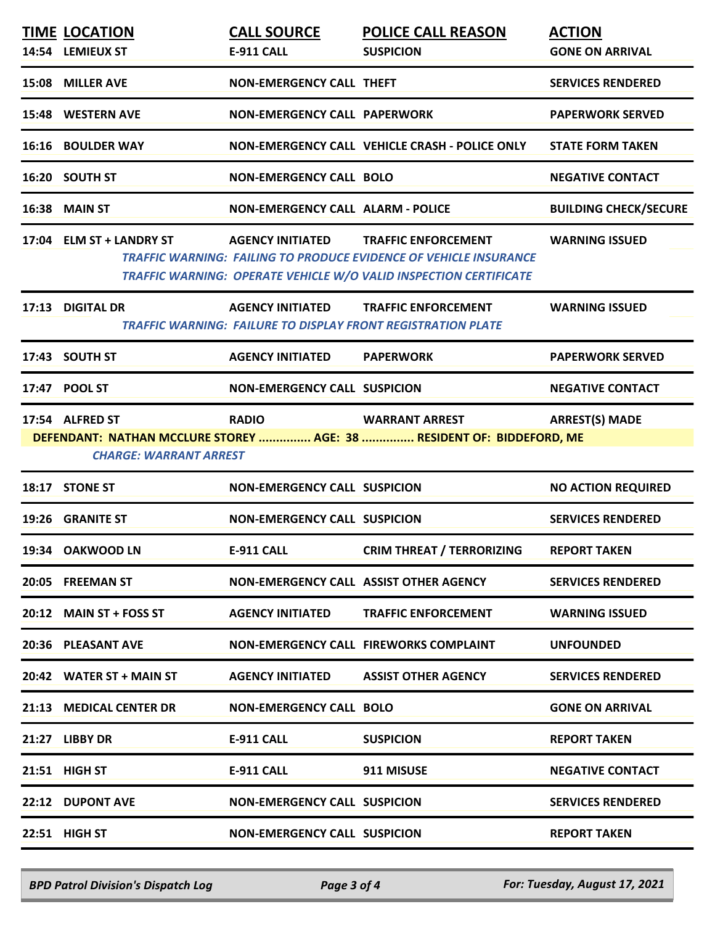| <b>TIME LOCATION</b>          | <b>CALL SOURCE</b>                       | <b>POLICE CALL REASON</b>                                                                                                                                            | <b>ACTION</b>                |
|-------------------------------|------------------------------------------|----------------------------------------------------------------------------------------------------------------------------------------------------------------------|------------------------------|
| 14:54 LEMIEUX ST              | <b>E-911 CALL</b>                        | <b>SUSPICION</b>                                                                                                                                                     | <b>GONE ON ARRIVAL</b>       |
| 15:08 MILLER AVE              | <b>NON-EMERGENCY CALL THEFT</b>          |                                                                                                                                                                      | <b>SERVICES RENDERED</b>     |
| 15:48 WESTERN AVE             | <b>NON-EMERGENCY CALL PAPERWORK</b>      |                                                                                                                                                                      | <b>PAPERWORK SERVED</b>      |
| <b>16:16 BOULDER WAY</b>      |                                          | NON-EMERGENCY CALL VEHICLE CRASH - POLICE ONLY                                                                                                                       | <b>STATE FORM TAKEN</b>      |
| 16:20 SOUTH ST                | <b>NON-EMERGENCY CALL BOLO</b>           |                                                                                                                                                                      | <b>NEGATIVE CONTACT</b>      |
| 16:38 MAIN ST                 | <b>NON-EMERGENCY CALL ALARM - POLICE</b> |                                                                                                                                                                      | <b>BUILDING CHECK/SECURE</b> |
| 17:04 ELM ST + LANDRY ST      | <b>AGENCY INITIATED</b>                  | <b>TRAFFIC ENFORCEMENT</b><br>TRAFFIC WARNING: FAILING TO PRODUCE EVIDENCE OF VEHICLE INSURANCE<br>TRAFFIC WARNING: OPERATE VEHICLE W/O VALID INSPECTION CERTIFICATE | <b>WARNING ISSUED</b>        |
| 17:13 DIGITAL DR              | <b>AGENCY INITIATED</b>                  | <b>TRAFFIC ENFORCEMENT</b><br>TRAFFIC WARNING: FAILURE TO DISPLAY FRONT REGISTRATION PLATE                                                                           | <b>WARNING ISSUED</b>        |
| 17:43 SOUTH ST                | <b>AGENCY INITIATED</b>                  | <b>PAPERWORK</b>                                                                                                                                                     | <b>PAPERWORK SERVED</b>      |
| 17:47 POOL ST                 | <b>NON-EMERGENCY CALL SUSPICION</b>      |                                                                                                                                                                      | <b>NEGATIVE CONTACT</b>      |
| 17:54 ALFRED ST               | <b>RADIO</b>                             | <b>WARRANT ARREST</b>                                                                                                                                                | <b>ARREST(S) MADE</b>        |
| <b>CHARGE: WARRANT ARREST</b> |                                          | DEFENDANT: NATHAN MCCLURE STOREY  AGE: 38  RESIDENT OF: BIDDEFORD, ME                                                                                                |                              |
| 18:17 STONE ST                | <b>NON-EMERGENCY CALL SUSPICION</b>      |                                                                                                                                                                      | <b>NO ACTION REQUIRED</b>    |
| 19:26 GRANITE ST              | <b>NON-EMERGENCY CALL SUSPICION</b>      |                                                                                                                                                                      | <b>SERVICES RENDERED</b>     |
| 19:34 OAKWOOD LN              | <b>E-911 CALL</b>                        | <b>CRIM THREAT / TERRORIZING</b>                                                                                                                                     | <b>REPORT TAKEN</b>          |
| 20:05 FREEMAN ST              |                                          | NON-EMERGENCY CALL ASSIST OTHER AGENCY                                                                                                                               | <b>SERVICES RENDERED</b>     |
| 20:12 MAIN ST + FOSS ST       | <b>AGENCY INITIATED</b>                  | <b>TRAFFIC ENFORCEMENT</b>                                                                                                                                           | <b>WARNING ISSUED</b>        |
| 20:36 PLEASANT AVE            |                                          | <b>NON-EMERGENCY CALL FIREWORKS COMPLAINT</b>                                                                                                                        | <b>UNFOUNDED</b>             |
| 20:42 WATER ST + MAIN ST      | <b>AGENCY INITIATED</b>                  | <b>ASSIST OTHER AGENCY</b>                                                                                                                                           | <b>SERVICES RENDERED</b>     |
| 21:13 MEDICAL CENTER DR       | <b>NON-EMERGENCY CALL BOLO</b>           |                                                                                                                                                                      | <b>GONE ON ARRIVAL</b>       |
| 21:27 LIBBY DR                | <b>E-911 CALL</b>                        | <b>SUSPICION</b>                                                                                                                                                     | <b>REPORT TAKEN</b>          |
| 21:51 HIGH ST                 | <b>E-911 CALL</b>                        | 911 MISUSE                                                                                                                                                           | <b>NEGATIVE CONTACT</b>      |
| 22:12 DUPONT AVE              | <b>NON-EMERGENCY CALL SUSPICION</b>      |                                                                                                                                                                      | <b>SERVICES RENDERED</b>     |
| 22:51 HIGH ST                 | <b>NON-EMERGENCY CALL SUSPICION</b>      |                                                                                                                                                                      | <b>REPORT TAKEN</b>          |
|                               |                                          |                                                                                                                                                                      |                              |

*BPD Patrol Division's Dispatch Log Page 3 of 4 For: Tuesday, August 17, 2021*